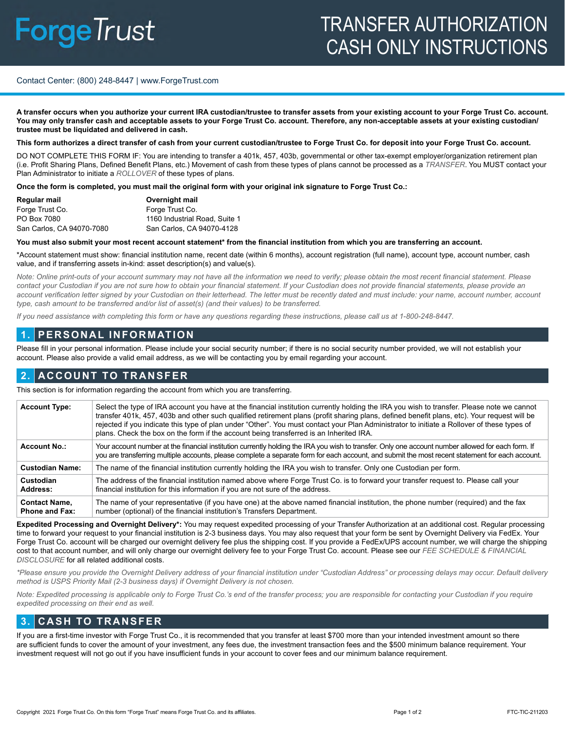# **ForgeTrust**

# TRANSFER AUTHORIZATION CASH ONLY INSTRUCTIONS

#### Contact Center: (800) 248-8447 | www.ForgeTrust.com

**A transfer occurs when you authorize your current IRA custodian/trustee to transfer assets from your existing account to your Forge Trust Co. account. You may only transfer cash and acceptable assets to your Forge Trust Co. account. Therefore, any non-acceptable assets at your existing custodian/ trustee must be liquidated and delivered in cash.** 

#### **This form authorizes a direct transfer of cash from your current custodian/trustee to Forge Trust Co. for deposit into your Forge Trust Co. account.**

DO NOT COMPLETE THIS FORM IF: You are intending to transfer a 401k, 457, 403b, governmental or other tax-exempt employer/organization retirement plan (i.e. Profit Sharing Plans, Defined Benefit Plans, etc.) Movement of cash from these types of plans cannot be processed as a *TRANSFER*. You MUST contact your Plan Administrator to initiate a *ROLLOVER* of these types of plans.

**Once the form is completed, you must mail the original form with your original ink signature to Forge Trust Co.:**

| Regular mail              | Overnight mail                |
|---------------------------|-------------------------------|
| Forge Trust Co.           | Forge Trust Co.               |
| PO Box 7080               | 1160 Industrial Road, Suite 1 |
| San Carlos, CA 94070-7080 | San Carlos, CA 94070-4128     |

#### **You must also submit your most recent account statement\* from the financial institution from which you are transferring an account.**

\*Account statement must show: financial institution name, recent date (within 6 months), account registration (full name), account type, account number, cash value, and if transferring assets in-kind: asset description(s) and value(s).

*Note: Online print-outs of your account summary may not have all the information we need to verify; please obtain the most recent financial statement. Please*  contact your Custodian if you are not sure how to obtain your financial statement. If your Custodian does not provide financial statements, please provide an account verification letter signed by your Custodian on their letterhead. The letter must be recently dated and must include: your name, account number, account *type, cash amount to be transferred and/or list of asset(s) (and their values) to be transferred.*

*If you need assistance with completing this form or have any questions regarding these instructions, please call us at 1-800-248-8447.*

# **1. PERSONAL INFORMATION**

Please fill in your personal information. Please include your social security number; if there is no social security number provided, we will not establish your account. Please also provide a valid email address, as we will be contacting you by email regarding your account.

# **2. ACCOUNT TO TRANSFER**

This section is for information regarding the account from which you are transferring.

| <b>Account Type:</b>                          | Select the type of IRA account you have at the financial institution currently holding the IRA you wish to transfer. Please note we cannot<br>transfer 401k, 457, 403b and other such qualified retirement plans (profit sharing plans, defined benefit plans, etc). Your request will be<br>rejected if you indicate this type of plan under "Other". You must contact your Plan Administrator to initiate a Rollover of these types of<br>plans. Check the box on the form if the account being transferred is an Inherited IRA. |  |
|-----------------------------------------------|------------------------------------------------------------------------------------------------------------------------------------------------------------------------------------------------------------------------------------------------------------------------------------------------------------------------------------------------------------------------------------------------------------------------------------------------------------------------------------------------------------------------------------|--|
| <b>Account No.:</b>                           | Your account number at the financial institution currently holding the IRA you wish to transfer. Only one account number allowed for each form. If<br>you are transferring multiple accounts, please complete a separate form for each account, and submit the most recent statement for each account.                                                                                                                                                                                                                             |  |
| <b>Custodian Name:</b>                        | The name of the financial institution currently holding the IRA you wish to transfer. Only one Custodian per form.                                                                                                                                                                                                                                                                                                                                                                                                                 |  |
| Custodian<br>Address:                         | The address of the financial institution named above where Forge Trust Co. is to forward your transfer request to. Please call your<br>financial institution for this information if you are not sure of the address.                                                                                                                                                                                                                                                                                                              |  |
| <b>Contact Name,</b><br><b>Phone and Fax:</b> | The name of your representative (if you have one) at the above named financial institution, the phone number (required) and the fax<br>number (optional) of the financial institution's Transfers Department.                                                                                                                                                                                                                                                                                                                      |  |

**Expedited Processing and Overnight Delivery\*:** You may request expedited processing of your Transfer Authorization at an additional cost. Regular processing time to forward your request to your financial institution is 2-3 business days. You may also request that your form be sent by Overnight Delivery via FedEx. Your Forge Trust Co. account will be charged our overnight delivery fee plus the shipping cost. If you provide a FedEx/UPS account number, we will charge the shipping cost to that account number, and will only charge our overnight delivery fee to your Forge Trust Co. account. Please see our *FEE SCHEDULE & FINANCIAL DISCLOSURE* for all related additional costs.

*\*Please ensure you provide the Overnight Delivery address of your financial institution under "Custodian Address" or processing delays may occur. Default delivery method is USPS Priority Mail (2-3 business days) if Overnight Delivery is not chosen.*

*Note: Expedited processing is applicable only to Forge Trust Co.'s end of the transfer process; you are responsible for contacting your Custodian if you require expedited processing on their end as well.*

### **3. CASH TO TRANSFER**

If you are a first-time investor with Forge Trust Co., it is recommended that you transfer at least \$700 more than your intended investment amount so there are sufficient funds to cover the amount of your investment, any fees due, the investment transaction fees and the \$500 minimum balance requirement. Your investment request will not go out if you have insufficient funds in your account to cover fees and our minimum balance requirement.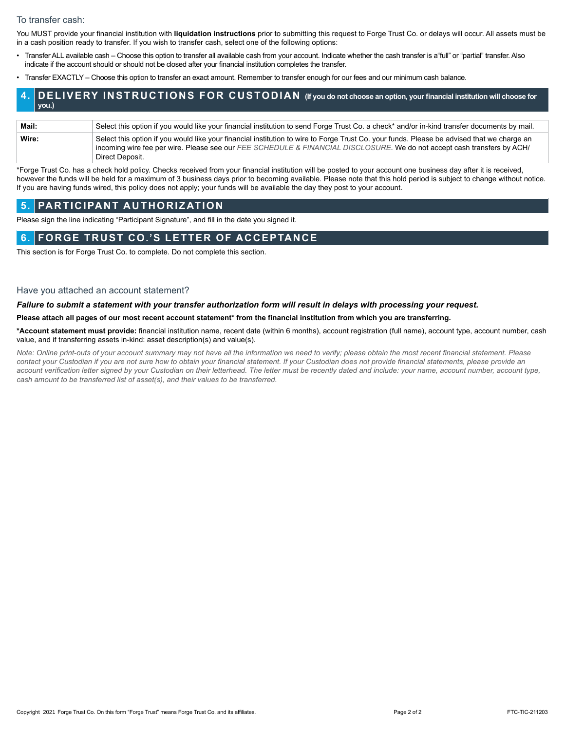#### To transfer cash:

You MUST provide your financial institution with **liquidation instructions** prior to submitting this request to Forge Trust Co. or delays will occur. All assets must be in a cash position ready to transfer. If you wish to transfer cash, select one of the following options:

- Transfer ALL available cash Choose this option to transfer all available cash from your account. Indicate whether the cash transfer is a"full" or "partial" transfer. Also indicate if the account should or should not be closed after your financial institution completes the transfer.
- Transfer EXACTLY Choose this option to transfer an exact amount. Remember to transfer enough for our fees and our minimum cash balance.

#### **4. DELIVERY INSTRUCTIONS FOR CUSTODIAN (If you do not choose an option, your financial institution will choose for you.)**

| Mail: | Select this option if you would like your financial institution to send Forge Trust Co. a check* and/or in-kind transfer documents by mail.                                                                                                                           |
|-------|-----------------------------------------------------------------------------------------------------------------------------------------------------------------------------------------------------------------------------------------------------------------------|
| Wire: | Select this option if you would like your financial institution to wire to Forge Trust Co. your funds. Please be advised that we charge an<br>incoming wire fee per wire. Please see our FEE SCHEDULE & FINANCIAL DISCLOSURE. We do not accept cash transfers by ACH/ |
|       | Direct Deposit.                                                                                                                                                                                                                                                       |

\*Forge Trust Co. has a check hold policy. Checks received from your financial institution will be posted to your account one business day after it is received, however the funds will be held for a maximum of 3 business days prior to becoming available. Please note that this hold period is subject to change without notice. If you are having funds wired, this policy does not apply; your funds will be available the day they post to your account.

### **5. PARTICIPANT AUTHORIZATION**

Please sign the line indicating "Participant Signature", and fill in the date you signed it.

# **6. FORGE TRUST CO.'S LETTER OF ACCEPTANCE**

This section is for Forge Trust Co. to complete. Do not complete this section.

#### Have you attached an account statement?

#### *Failure to submit a statement with your transfer authorization form will result in delays with processing your request.*

**Please attach all pages of our most recent account statement\* from the financial institution from which you are transferring.**

**\*Account statement must provide:** financial institution name, recent date (within 6 months), account registration (full name), account type, account number, cash value, and if transferring assets in-kind: asset description(s) and value(s).

*Note: Online print-outs of your account summary may not have all the information we need to verify; please obtain the most recent financial statement. Please*  contact your Custodian if you are not sure how to obtain your financial statement. If your Custodian does not provide financial statements, please provide an account verification letter signed by your Custodian on their letterhead. The letter must be recently dated and include: your name, account number, account type, *cash amount to be transferred list of asset(s), and their values to be transferred.*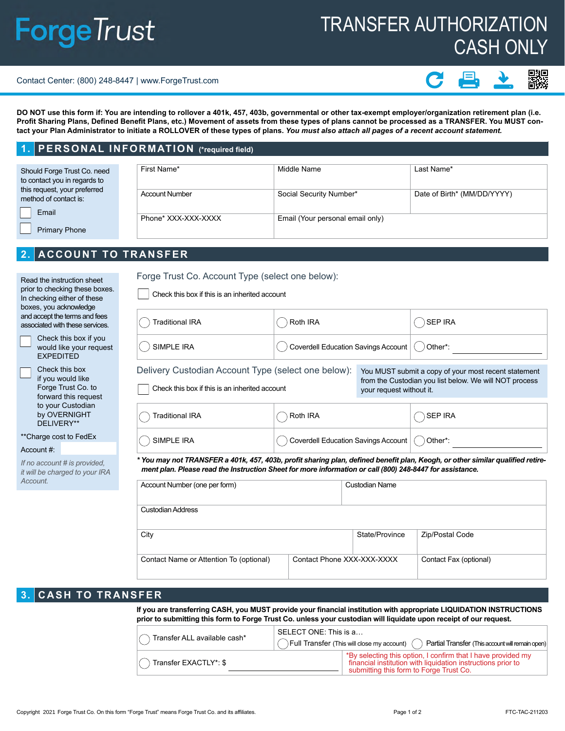# **ForgeTrust**

# TRANSFER AUTHORIZATION CASH ONLY

#### Contact Center: (800) 248-8447 | www.ForgeTrust.com

驟

**DO NOT use this form if: You are intending to rollover a 401k, 457, 403b, governmental or other tax-exempt employer/organization retirement plan (i.e. Profit Sharing Plans, Defined Benefit Plans, etc.) Movement of assets from these types of plans cannot be processed as a TRANSFER. You MUST contact your Plan Administrator to initiate a ROLLOVER of these types of plans.** *You must also attach all pages of a recent account statement.*

# **1. PERSONAL INFORMATION (\*required field)**

| Should Forge Trust Co. need<br>to contact you in regards to |       | First Name*           | Middle Name                      | Last Name*                  |
|-------------------------------------------------------------|-------|-----------------------|----------------------------------|-----------------------------|
| this request, your preferred<br>method of contact is:       |       | <b>Account Number</b> | Social Security Number*          | Date of Birth* (MM/DD/YYYY) |
|                                                             | Email |                       |                                  |                             |
| <b>Primary Phone</b>                                        |       | Phone* XXX-XXX-XXXX   | Email (Your personal email only) |                             |

# **2. ACCOUNT TO TRANSFER**

| Read the instruction sheet<br>prior to checking these boxes.<br>In checking either of these<br>boxes, you acknowledge | Forge Trust Co. Account Type (select one below):<br>Check this box if this is an inherited account                                                                                                                                         |                                            |                          |                                                                                                                |  |
|-----------------------------------------------------------------------------------------------------------------------|--------------------------------------------------------------------------------------------------------------------------------------------------------------------------------------------------------------------------------------------|--------------------------------------------|--------------------------|----------------------------------------------------------------------------------------------------------------|--|
| and accept the terms and fees<br>associated with these services.                                                      | <b>Traditional IRA</b>                                                                                                                                                                                                                     | Roth IRA                                   |                          | <b>SEP IRA</b>                                                                                                 |  |
| Check this box if you<br>would like your request<br><b>EXPEDITED</b>                                                  | <b>SIMPLE IRA</b>                                                                                                                                                                                                                          | <b>Coverdell Education Savings Account</b> |                          | Other*:                                                                                                        |  |
| Check this box<br>if you would like<br>Forge Trust Co. to<br>forward this request                                     | Delivery Custodian Account Type (select one below):<br>Check this box if this is an inherited account                                                                                                                                      |                                            | your request without it. | You MUST submit a copy of your most recent statement<br>from the Custodian you list below. We will NOT process |  |
| to your Custodian<br>by OVERNIGHT<br>DELIVERY**                                                                       | Traditional IRA                                                                                                                                                                                                                            | Roth IRA                                   |                          | <b>SEP IRA</b>                                                                                                 |  |
| **Charge cost to FedEx                                                                                                | SIMPLE IRA                                                                                                                                                                                                                                 | Coverdell Education Savings Account        |                          | Other*:                                                                                                        |  |
| Account #:                                                                                                            |                                                                                                                                                                                                                                            |                                            |                          |                                                                                                                |  |
| If no account # is provided.<br>it will be charged to your IRA                                                        | * You may not TRANSFER a 401k, 457, 403b, profit sharing plan, defined benefit plan, Keogh, or other similar qualified retire-<br>ment plan. Please read the Instruction Sheet for more information or call (800) 248-8447 for assistance. |                                            |                          |                                                                                                                |  |
| Account.                                                                                                              | Account Number (one per form)                                                                                                                                                                                                              |                                            | <b>Custodian Name</b>    |                                                                                                                |  |
|                                                                                                                       | <b>Custodian Address</b>                                                                                                                                                                                                                   |                                            |                          |                                                                                                                |  |
|                                                                                                                       | City                                                                                                                                                                                                                                       |                                            | State/Province           | Zip/Postal Code                                                                                                |  |
| Contact Phone XXX-XXX-XXXX<br>Contact Name or Attention To (optional)                                                 |                                                                                                                                                                                                                                            |                                            | Contact Fax (optional)   |                                                                                                                |  |
| <b>CASH TO TRANSFER</b><br>3 <sub>1</sub>                                                                             | If you are transferring CASH you MUST provide your financial institution with appropriate LIQUIDATION INSTRUICTIONS                                                                                                                        |                                            |                          |                                                                                                                |  |

**If you are transferring CASH, you MUST provide your financial institution with appropriate LIQUIDATION INSTRUCTIONS prior to submitting this form to Forge Trust Co. unless your custodian will liquidate upon receipt of our request.**

| Transfer ALL available cash* | SELECT ONE: This is a<br>Full Transfer (This will close my account) (<br>Partial Transfer (This account will remain open)                                                           |  |  |
|------------------------------|-------------------------------------------------------------------------------------------------------------------------------------------------------------------------------------|--|--|
| Transfer EXACTLY*: \$        | <sup>*</sup> By selecting this option, I confirm that I have provided my<br>financial institution with liquidation instructions prior to<br>submitting this form to Forge Trust Co. |  |  |